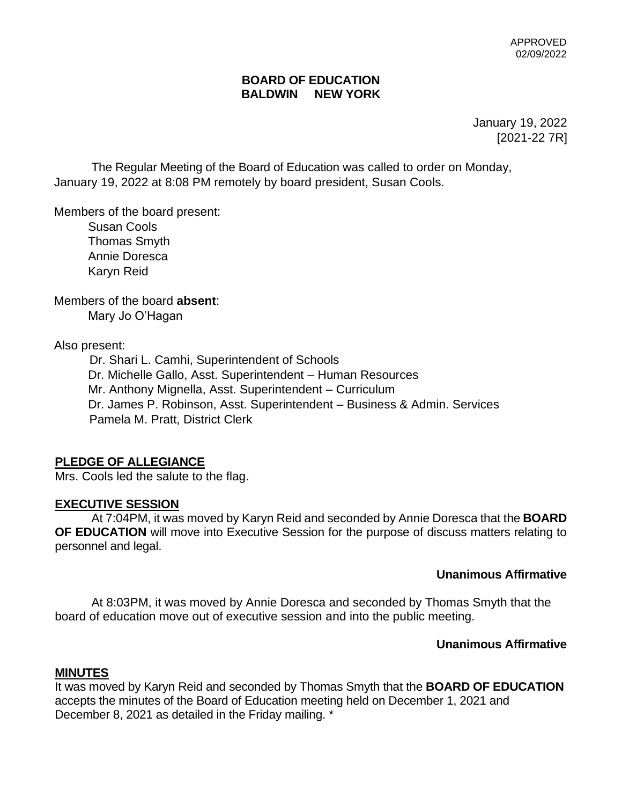#### **BOARD OF EDUCATION BALDWIN NEW YORK**

January 19, 2022 [2021-22 7R]

The Regular Meeting of the Board of Education was called to order on Monday, January 19, 2022 at 8:08 PM remotely by board president, Susan Cools.

Members of the board present:

 Susan Cools Thomas Smyth Annie Doresca Karyn Reid

Members of the board **absent**: Mary Jo O'Hagan

Also present:

Dr. Shari L. Camhi, Superintendent of Schools Dr. Michelle Gallo, Asst. Superintendent – Human Resources Mr. Anthony Mignella, Asst. Superintendent – Curriculum Dr. James P. Robinson, Asst. Superintendent – Business & Admin. Services Pamela M. Pratt, District Clerk

# **PLEDGE OF ALLEGIANCE**

Mrs. Cools led the salute to the flag.

#### **EXECUTIVE SESSION**

At 7:04PM, it was moved by Karyn Reid and seconded by Annie Doresca that the **BOARD OF EDUCATION** will move into Executive Session for the purpose of discuss matters relating to personnel and legal.

#### **Unanimous Affirmative**

At 8:03PM, it was moved by Annie Doresca and seconded by Thomas Smyth that the board of education move out of executive session and into the public meeting.

# **Unanimous Affirmative**

#### **MINUTES**

It was moved by Karyn Reid and seconded by Thomas Smyth that the **BOARD OF EDUCATION**  accepts the minutes of the Board of Education meeting held on December 1, 2021 and December 8, 2021 as detailed in the Friday mailing. \*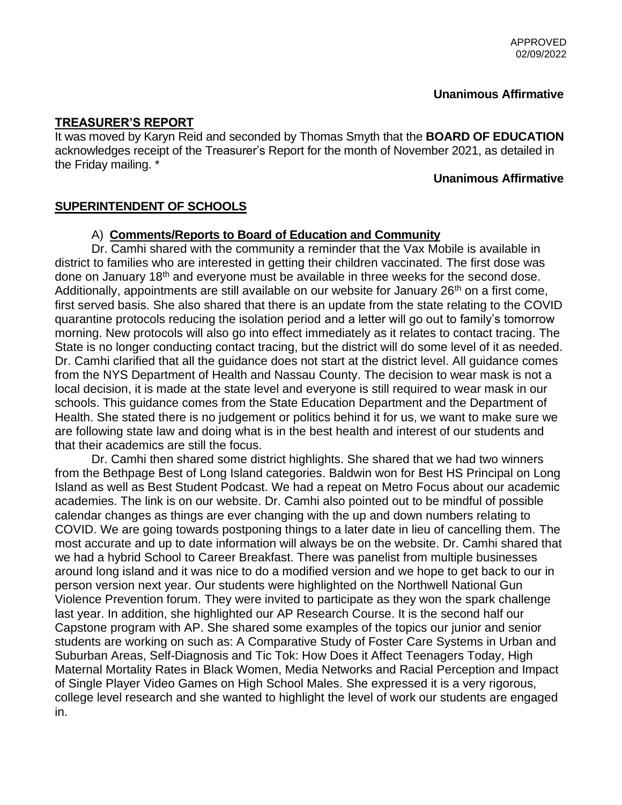# **Unanimous Affirmative**

#### **TREASURER'S REPORT**

It was moved by Karyn Reid and seconded by Thomas Smyth that the **BOARD OF EDUCATION** acknowledges receipt of the Treasurer's Report for the month of November 2021, as detailed in the Friday mailing. \*

#### **Unanimous Affirmative**

# **SUPERINTENDENT OF SCHOOLS**

#### A) **Comments/Reports to Board of Education and Community**

Dr. Camhi shared with the community a reminder that the Vax Mobile is available in district to families who are interested in getting their children vaccinated. The first dose was done on January 18<sup>th</sup> and everyone must be available in three weeks for the second dose. Additionally, appointments are still available on our website for January 26<sup>th</sup> on a first come, first served basis. She also shared that there is an update from the state relating to the COVID quarantine protocols reducing the isolation period and a letter will go out to family's tomorrow morning. New protocols will also go into effect immediately as it relates to contact tracing. The State is no longer conducting contact tracing, but the district will do some level of it as needed. Dr. Camhi clarified that all the guidance does not start at the district level. All guidance comes from the NYS Department of Health and Nassau County. The decision to wear mask is not a local decision, it is made at the state level and everyone is still required to wear mask in our schools. This guidance comes from the State Education Department and the Department of Health. She stated there is no judgement or politics behind it for us, we want to make sure we are following state law and doing what is in the best health and interest of our students and that their academics are still the focus.

Dr. Camhi then shared some district highlights. She shared that we had two winners from the Bethpage Best of Long Island categories. Baldwin won for Best HS Principal on Long Island as well as Best Student Podcast. We had a repeat on Metro Focus about our academic academies. The link is on our website. Dr. Camhi also pointed out to be mindful of possible calendar changes as things are ever changing with the up and down numbers relating to COVID. We are going towards postponing things to a later date in lieu of cancelling them. The most accurate and up to date information will always be on the website. Dr. Camhi shared that we had a hybrid School to Career Breakfast. There was panelist from multiple businesses around long island and it was nice to do a modified version and we hope to get back to our in person version next year. Our students were highlighted on the Northwell National Gun Violence Prevention forum. They were invited to participate as they won the spark challenge last year. In addition, she highlighted our AP Research Course. It is the second half our Capstone program with AP. She shared some examples of the topics our junior and senior students are working on such as: A Comparative Study of Foster Care Systems in Urban and Suburban Areas, Self-Diagnosis and Tic Tok: How Does it Affect Teenagers Today, High Maternal Mortality Rates in Black Women, Media Networks and Racial Perception and Impact of Single Player Video Games on High School Males. She expressed it is a very rigorous, college level research and she wanted to highlight the level of work our students are engaged in.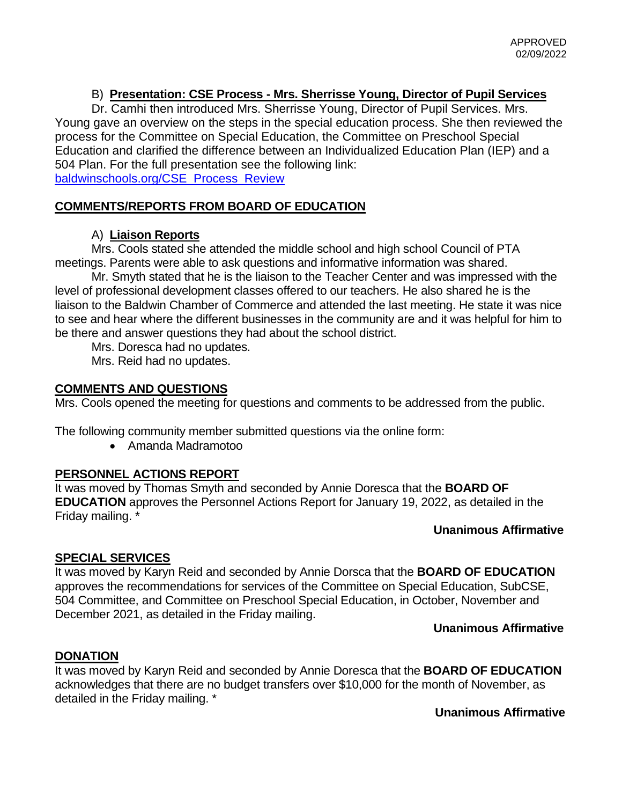# B) **Presentation: CSE Process - Mrs. Sherrisse Young, Director of Pupil Services**

Dr. Camhi then introduced Mrs. Sherrisse Young, Director of Pupil Services. Mrs. Young gave an overview on the steps in the special education process. She then reviewed the process for the Committee on Special Education, the Committee on Preschool Special Education and clarified the difference between an Individualized Education Plan (IEP) and a 504 Plan. For the full presentation see the following link: [baldwinschools.org/CSE\\_Process\\_Review](https://www.baldwinschools.org/site/default.aspx?PageType=3&ModuleInstanceID=10997&ViewID=7b97f7ed-8e5e-4120-848f-a8b4987d588f&RenderLoc=0&FlexDataID=29683&PageID=5651)

# **COMMENTS/REPORTS FROM BOARD OF EDUCATION**

# A) **Liaison Reports**

Mrs. Cools stated she attended the middle school and high school Council of PTA meetings. Parents were able to ask questions and informative information was shared.

Mr. Smyth stated that he is the liaison to the Teacher Center and was impressed with the level of professional development classes offered to our teachers. He also shared he is the liaison to the Baldwin Chamber of Commerce and attended the last meeting. He state it was nice to see and hear where the different businesses in the community are and it was helpful for him to be there and answer questions they had about the school district.

Mrs. Doresca had no updates.

Mrs. Reid had no updates.

# **COMMENTS AND QUESTIONS**

Mrs. Cools opened the meeting for questions and comments to be addressed from the public.

The following community member submitted questions via the online form:

• Amanda Madramotoo

# **PERSONNEL ACTIONS REPORT**

It was moved by Thomas Smyth and seconded by Annie Doresca that the **BOARD OF EDUCATION** approves the Personnel Actions Report for January 19, 2022, as detailed in the Friday mailing. \*

# **Unanimous Affirmative**

# **SPECIAL SERVICES**

It was moved by Karyn Reid and seconded by Annie Dorsca that the **BOARD OF EDUCATION** approves the recommendations for services of the Committee on Special Education, SubCSE, 504 Committee, and Committee on Preschool Special Education, in October, November and December 2021, as detailed in the Friday mailing.

# **Unanimous Affirmative**

# **DONATION**

It was moved by Karyn Reid and seconded by Annie Doresca that the **BOARD OF EDUCATION** acknowledges that there are no budget transfers over \$10,000 for the month of November, as detailed in the Friday mailing. \*

 **Unanimous Affirmative**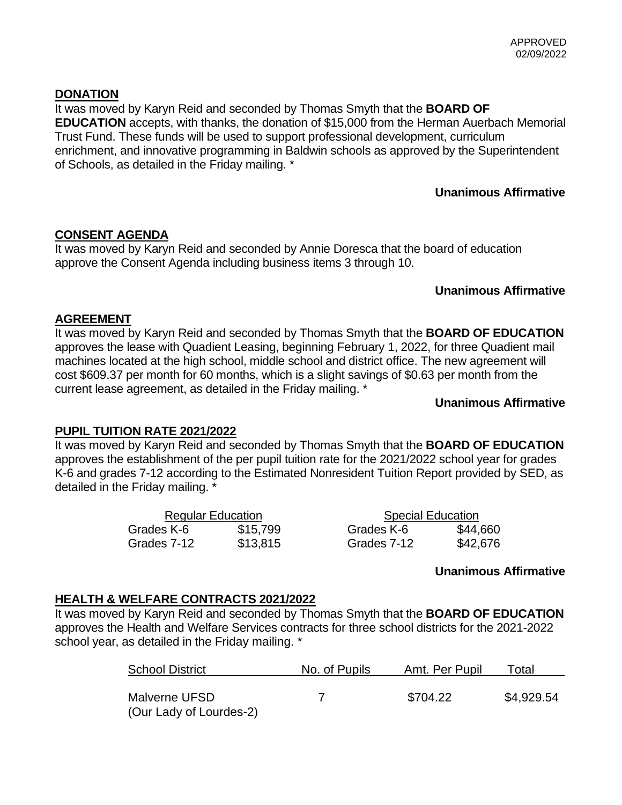# **DONATION**

It was moved by Karyn Reid and seconded by Thomas Smyth that the **BOARD OF EDUCATION** accepts, with thanks, the donation of \$15,000 from the Herman Auerbach Memorial Trust Fund. These funds will be used to support professional development, curriculum enrichment, and innovative programming in Baldwin schools as approved by the Superintendent of Schools, as detailed in the Friday mailing. \*

# **Unanimous Affirmative**

# **CONSENT AGENDA**

It was moved by Karyn Reid and seconded by Annie Doresca that the board of education approve the Consent Agenda including business items 3 through 10.

# **Unanimous Affirmative**

# **AGREEMENT**

It was moved by Karyn Reid and seconded by Thomas Smyth that the **BOARD OF EDUCATION** approves the lease with Quadient Leasing, beginning February 1, 2022, for three Quadient mail machines located at the high school, middle school and district office. The new agreement will cost \$609.37 per month for 60 months, which is a slight savings of \$0.63 per month from the current lease agreement, as detailed in the Friday mailing. \*

# **Unanimous Affirmative**

# **PUPIL TUITION RATE 2021/2022**

It was moved by Karyn Reid and seconded by Thomas Smyth that the **BOARD OF EDUCATION** approves the establishment of the per pupil tuition rate for the 2021/2022 school year for grades K-6 and grades 7-12 according to the Estimated Nonresident Tuition Report provided by SED, as detailed in the Friday mailing. \*

| <b>Regular Education</b> |          | <b>Special Education</b> |          |
|--------------------------|----------|--------------------------|----------|
| Grades K-6               | \$15,799 | Grades K-6               | \$44,660 |
| Grades 7-12              | \$13,815 | Grades 7-12              | \$42,676 |

# **Unanimous Affirmative**

# **HEALTH & WELFARE CONTRACTS 2021/2022**

It was moved by Karyn Reid and seconded by Thomas Smyth that the **BOARD OF EDUCATION**  approves the Health and Welfare Services contracts for three school districts for the 2021-2022 school year, as detailed in the Friday mailing. \*

| <b>School District</b>                   | No. of Pupils | Amt. Per Pupil | Total      |
|------------------------------------------|---------------|----------------|------------|
| Malverne UFSD<br>(Our Lady of Lourdes-2) |               | \$704.22       | \$4,929.54 |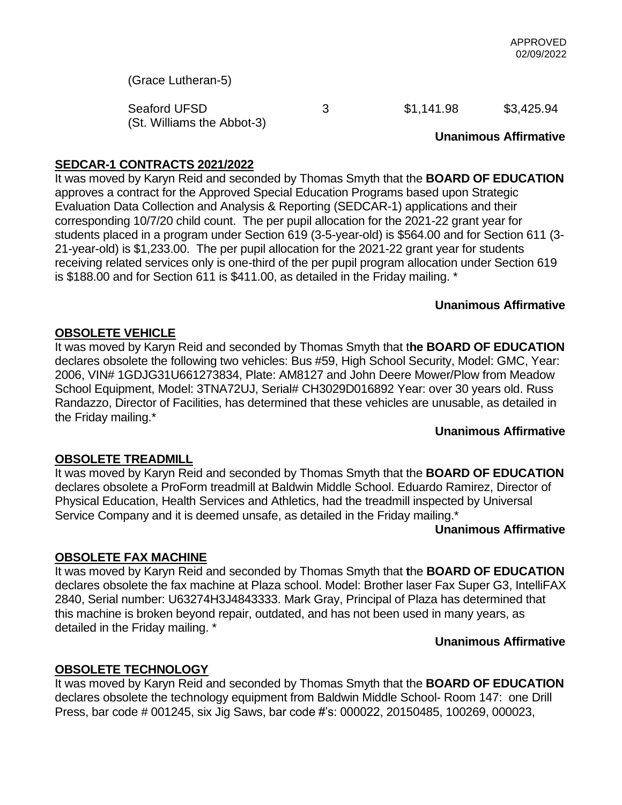(Grace Lutheran-5)

Seaford UFSD 3 51,141.98 \$3,425.94 (St. Williams the Abbot-3)

#### **Unanimous Affirmative**

# **SEDCAR-1 CONTRACTS 2021/2022**

It was moved by Karyn Reid and seconded by Thomas Smyth that the **BOARD OF EDUCATION** approves a contract for the Approved Special Education Programs based upon Strategic Evaluation Data Collection and Analysis & Reporting (SEDCAR-1) applications and their corresponding 10/7/20 child count. The per pupil allocation for the 2021-22 grant year for students placed in a program under Section 619 (3-5-year-old) is \$564.00 and for Section 611 (3- 21-year-old) is \$1,233.00. The per pupil allocation for the 2021-22 grant year for students receiving related services only is one-third of the per pupil program allocation under Section 619 is \$188.00 and for Section 611 is \$411.00, as detailed in the Friday mailing. \*

# **Unanimous Affirmative**

#### **OBSOLETE VEHICLE**

It was moved by Karyn Reid and seconded by Thomas Smyth that t**he BOARD OF EDUCATION** declares obsolete the following two vehicles: Bus #59, High School Security, Model: GMC, Year: 2006, VIN# 1GDJG31U661273834, Plate: AM8127 and John Deere Mower/Plow from Meadow School Equipment, Model: 3TNA72UJ, Serial# CH3029D016892 Year: over 30 years old. Russ Randazzo, Director of Facilities, has determined that these vehicles are unusable, as detailed in the Friday mailing.\*

#### **Unanimous Affirmative**

# **OBSOLETE TREADMILL**

It was moved by Karyn Reid and seconded by Thomas Smyth that the **BOARD OF EDUCATION** declares obsolete a ProForm treadmill at Baldwin Middle School. Eduardo Ramirez, Director of Physical Education, Health Services and Athletics, had the treadmill inspected by Universal Service Company and it is deemed unsafe, as detailed in the Friday mailing.\*

 **Unanimous Affirmative**

# **OBSOLETE FAX MACHINE**

It was moved by Karyn Reid and seconded by Thomas Smyth that **t**he **BOARD OF EDUCATION** declares obsolete the fax machine at Plaza school. Model: Brother laser Fax Super G3, IntelliFAX 2840, Serial number: U63274H3J4843333. Mark Gray, Principal of Plaza has determined that this machine is broken beyond repair, outdated, and has not been used in many years, as detailed in the Friday mailing. \*

#### **Unanimous Affirmative**

# **OBSOLETE TECHNOLOGY**

It was moved by Karyn Reid and seconded by Thomas Smyth that the **BOARD OF EDUCATION** declares obsolete the technology equipment from Baldwin Middle School- Room 147: one Drill Press, bar code # 001245, six Jig Saws, bar code #'s: 000022, 20150485, 100269, 000023,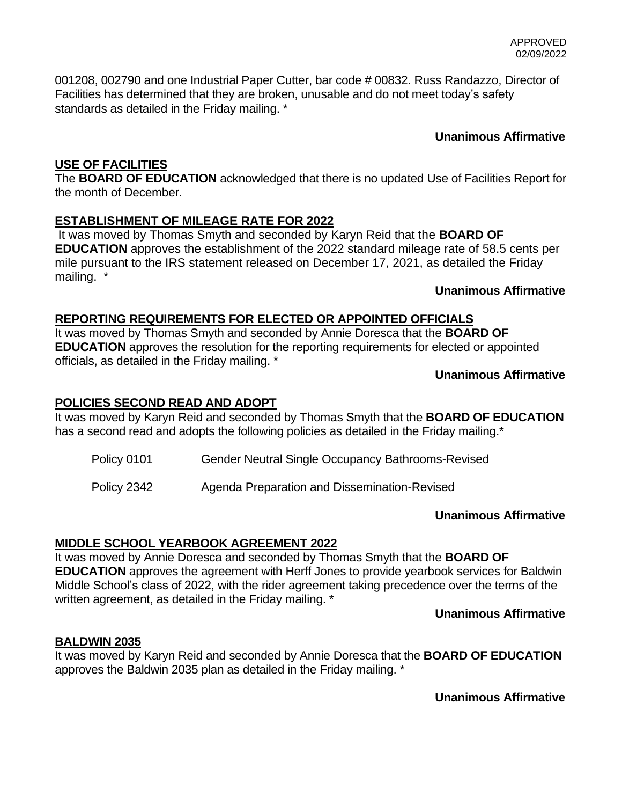001208, 002790 and one Industrial Paper Cutter, bar code # 00832. Russ Randazzo, Director of Facilities has determined that they are broken, unusable and do not meet today's safety standards as detailed in the Friday mailing. \*

# **Unanimous Affirmative**

# **USE OF FACILITIES**

The **BOARD OF EDUCATION** acknowledged that there is no updated Use of Facilities Report for the month of December.

# **ESTABLISHMENT OF MILEAGE RATE FOR 2022**

It was moved by Thomas Smyth and seconded by Karyn Reid that the **BOARD OF EDUCATION** approves the establishment of the 2022 standard mileage rate of 58.5 cents per mile pursuant to the IRS statement released on December 17, 2021, as detailed the Friday mailing. \*

# **Unanimous Affirmative**

# **REPORTING REQUIREMENTS FOR ELECTED OR APPOINTED OFFICIALS**

It was moved by Thomas Smyth and seconded by Annie Doresca that the **BOARD OF EDUCATION** approves the resolution for the reporting requirements for elected or appointed officials, as detailed in the Friday mailing. \*

# **Unanimous Affirmative**

# **POLICIES SECOND READ AND ADOPT**

It was moved by Karyn Reid and seconded by Thomas Smyth that the **BOARD OF EDUCATION** has a second read and adopts the following policies as detailed in the Friday mailing.<sup>\*</sup>

Policy 0101 Gender Neutral Single Occupancy Bathrooms-Revised

Policy 2342 Agenda Preparation and Dissemination-Revised

# **Unanimous Affirmative**

# **MIDDLE SCHOOL YEARBOOK AGREEMENT 2022**

It was moved by Annie Doresca and seconded by Thomas Smyth that the **BOARD OF EDUCATION** approves the agreement with Herff Jones to provide yearbook services for Baldwin Middle School's class of 2022, with the rider agreement taking precedence over the terms of the written agreement, as detailed in the Friday mailing. \*

 **Unanimous Affirmative**

# **BALDWIN 2035**

It was moved by Karyn Reid and seconded by Annie Doresca that the **BOARD OF EDUCATION** approves the Baldwin 2035 plan as detailed in the Friday mailing. \*

 **Unanimous Affirmative**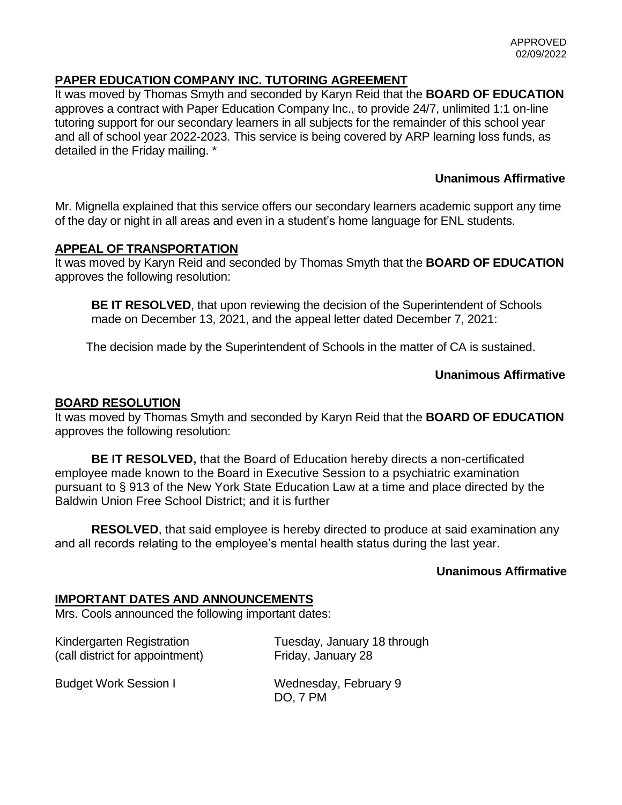# **PAPER EDUCATION COMPANY INC. TUTORING AGREEMENT**

It was moved by Thomas Smyth and seconded by Karyn Reid that the **BOARD OF EDUCATION** approves a contract with Paper Education Company Inc., to provide 24/7, unlimited 1:1 on-line tutoring support for our secondary learners in all subjects for the remainder of this school year and all of school year 2022-2023. This service is being covered by ARP learning loss funds, as detailed in the Friday mailing. \*

# **Unanimous Affirmative**

Mr. Mignella explained that this service offers our secondary learners academic support any time of the day or night in all areas and even in a student's home language for ENL students.

# **APPEAL OF TRANSPORTATION**

It was moved by Karyn Reid and seconded by Thomas Smyth that the **BOARD OF EDUCATION**  approves the following resolution:

**BE IT RESOLVED**, that upon reviewing the decision of the Superintendent of Schools made on December 13, 2021, and the appeal letter dated December 7, 2021:

The decision made by the Superintendent of Schools in the matter of CA is sustained.

# **Unanimous Affirmative**

# **BOARD RESOLUTION**

It was moved by Thomas Smyth and seconded by Karyn Reid that the **BOARD OF EDUCATION**  approves the following resolution:

**BE IT RESOLVED,** that the Board of Education hereby directs a non-certificated employee made known to the Board in Executive Session to a psychiatric examination pursuant to § 913 of the New York State Education Law at a time and place directed by the Baldwin Union Free School District; and it is further

**RESOLVED**, that said employee is hereby directed to produce at said examination any and all records relating to the employee's mental health status during the last year.

# **Unanimous Affirmative**

# **IMPORTANT DATES AND ANNOUNCEMENTS**

Mrs. Cools announced the following important dates:

(call district for appointment) Friday, January 28

Kindergarten Registration Tuesday, January 18 through

Budget Work Session I Wednesday, February 9 DO, 7 PM